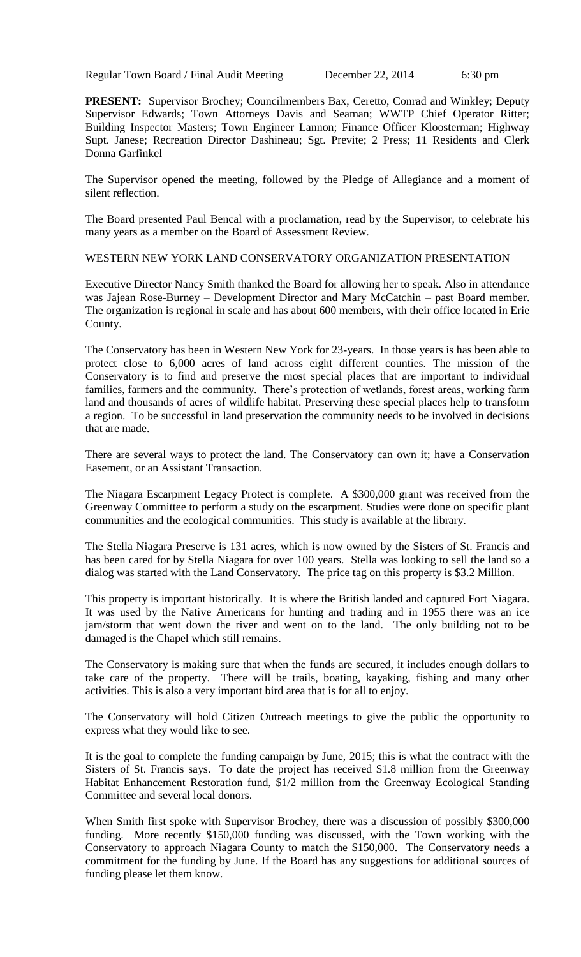Regular Town Board / Final Audit Meeting December 22, 2014 6:30 pm

**PRESENT:** Supervisor Brochey; Councilmembers Bax, Ceretto, Conrad and Winkley; Deputy Supervisor Edwards; Town Attorneys Davis and Seaman; WWTP Chief Operator Ritter; Building Inspector Masters; Town Engineer Lannon; Finance Officer Kloosterman; Highway Supt. Janese; Recreation Director Dashineau; Sgt. Previte; 2 Press; 11 Residents and Clerk Donna Garfinkel

The Supervisor opened the meeting, followed by the Pledge of Allegiance and a moment of silent reflection.

The Board presented Paul Bencal with a proclamation, read by the Supervisor, to celebrate his many years as a member on the Board of Assessment Review.

WESTERN NEW YORK LAND CONSERVATORY ORGANIZATION PRESENTATION

Executive Director Nancy Smith thanked the Board for allowing her to speak. Also in attendance was Jajean Rose-Burney – Development Director and Mary McCatchin – past Board member. The organization is regional in scale and has about 600 members, with their office located in Erie County.

The Conservatory has been in Western New York for 23-years. In those years is has been able to protect close to 6,000 acres of land across eight different counties. The mission of the Conservatory is to find and preserve the most special places that are important to individual families, farmers and the community. There's protection of wetlands, forest areas, working farm land and thousands of acres of wildlife habitat. Preserving these special places help to transform a region. To be successful in land preservation the community needs to be involved in decisions that are made.

There are several ways to protect the land. The Conservatory can own it; have a Conservation Easement, or an Assistant Transaction.

The Niagara Escarpment Legacy Protect is complete. A \$300,000 grant was received from the Greenway Committee to perform a study on the escarpment. Studies were done on specific plant communities and the ecological communities. This study is available at the library.

The Stella Niagara Preserve is 131 acres, which is now owned by the Sisters of St. Francis and has been cared for by Stella Niagara for over 100 years. Stella was looking to sell the land so a dialog was started with the Land Conservatory. The price tag on this property is \$3.2 Million.

This property is important historically. It is where the British landed and captured Fort Niagara. It was used by the Native Americans for hunting and trading and in 1955 there was an ice jam/storm that went down the river and went on to the land. The only building not to be damaged is the Chapel which still remains.

The Conservatory is making sure that when the funds are secured, it includes enough dollars to take care of the property. There will be trails, boating, kayaking, fishing and many other activities. This is also a very important bird area that is for all to enjoy.

The Conservatory will hold Citizen Outreach meetings to give the public the opportunity to express what they would like to see.

It is the goal to complete the funding campaign by June, 2015; this is what the contract with the Sisters of St. Francis says. To date the project has received \$1.8 million from the Greenway Habitat Enhancement Restoration fund, \$1/2 million from the Greenway Ecological Standing Committee and several local donors.

When Smith first spoke with Supervisor Brochey, there was a discussion of possibly \$300,000 funding. More recently \$150,000 funding was discussed, with the Town working with the Conservatory to approach Niagara County to match the \$150,000. The Conservatory needs a commitment for the funding by June. If the Board has any suggestions for additional sources of funding please let them know.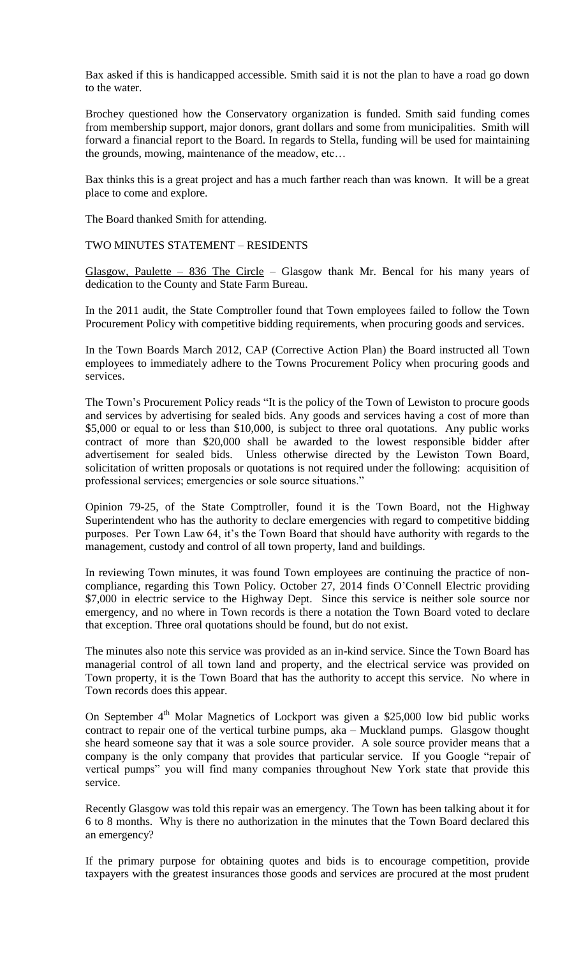Bax asked if this is handicapped accessible. Smith said it is not the plan to have a road go down to the water.

Brochey questioned how the Conservatory organization is funded. Smith said funding comes from membership support, major donors, grant dollars and some from municipalities. Smith will forward a financial report to the Board. In regards to Stella, funding will be used for maintaining the grounds, mowing, maintenance of the meadow, etc…

Bax thinks this is a great project and has a much farther reach than was known. It will be a great place to come and explore.

The Board thanked Smith for attending.

TWO MINUTES STATEMENT – RESIDENTS

Glasgow, Paulette – 836 The Circle – Glasgow thank Mr. Bencal for his many years of dedication to the County and State Farm Bureau.

In the 2011 audit, the State Comptroller found that Town employees failed to follow the Town Procurement Policy with competitive bidding requirements, when procuring goods and services.

In the Town Boards March 2012, CAP (Corrective Action Plan) the Board instructed all Town employees to immediately adhere to the Towns Procurement Policy when procuring goods and services.

The Town's Procurement Policy reads "It is the policy of the Town of Lewiston to procure goods and services by advertising for sealed bids. Any goods and services having a cost of more than \$5,000 or equal to or less than \$10,000, is subject to three oral quotations. Any public works contract of more than \$20,000 shall be awarded to the lowest responsible bidder after advertisement for sealed bids. Unless otherwise directed by the Lewiston Town Board, solicitation of written proposals or quotations is not required under the following: acquisition of professional services; emergencies or sole source situations."

Opinion 79-25, of the State Comptroller, found it is the Town Board, not the Highway Superintendent who has the authority to declare emergencies with regard to competitive bidding purposes. Per Town Law 64, it's the Town Board that should have authority with regards to the management, custody and control of all town property, land and buildings.

In reviewing Town minutes, it was found Town employees are continuing the practice of noncompliance, regarding this Town Policy. October 27, 2014 finds O'Connell Electric providing \$7,000 in electric service to the Highway Dept. Since this service is neither sole source nor emergency, and no where in Town records is there a notation the Town Board voted to declare that exception. Three oral quotations should be found, but do not exist.

The minutes also note this service was provided as an in-kind service. Since the Town Board has managerial control of all town land and property, and the electrical service was provided on Town property, it is the Town Board that has the authority to accept this service. No where in Town records does this appear.

On September  $4<sup>th</sup>$  Molar Magnetics of Lockport was given a \$25,000 low bid public works contract to repair one of the vertical turbine pumps, aka – Muckland pumps. Glasgow thought she heard someone say that it was a sole source provider. A sole source provider means that a company is the only company that provides that particular service. If you Google "repair of vertical pumps" you will find many companies throughout New York state that provide this service.

Recently Glasgow was told this repair was an emergency. The Town has been talking about it for 6 to 8 months. Why is there no authorization in the minutes that the Town Board declared this an emergency?

If the primary purpose for obtaining quotes and bids is to encourage competition, provide taxpayers with the greatest insurances those goods and services are procured at the most prudent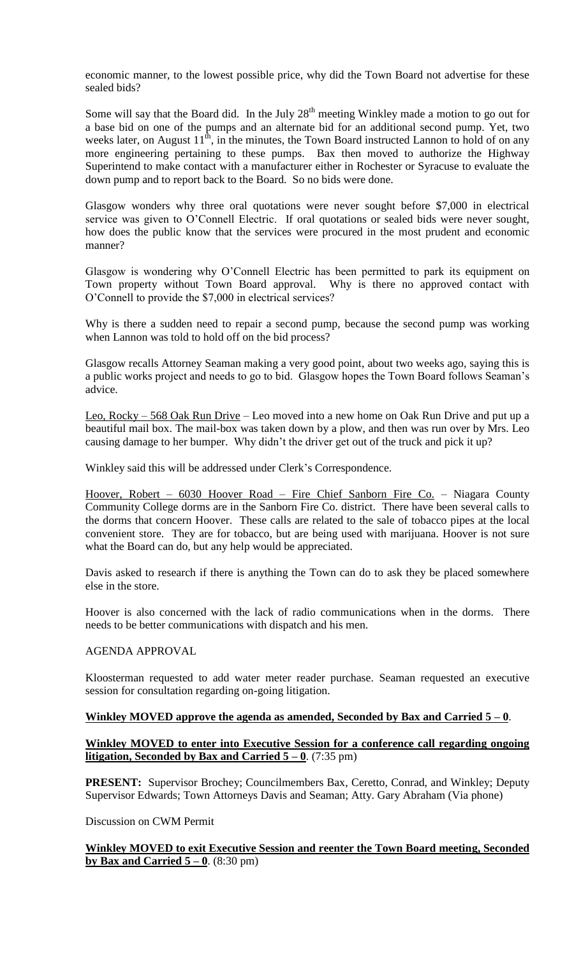economic manner, to the lowest possible price, why did the Town Board not advertise for these sealed bids?

Some will say that the Board did. In the July  $28<sup>th</sup>$  meeting Winkley made a motion to go out for a base bid on one of the pumps and an alternate bid for an additional second pump. Yet, two weeks later, on August  $11^{th}$ , in the minutes, the Town Board instructed Lannon to hold of on any more engineering pertaining to these pumps. Bax then moved to authorize the Highway Superintend to make contact with a manufacturer either in Rochester or Syracuse to evaluate the down pump and to report back to the Board. So no bids were done.

Glasgow wonders why three oral quotations were never sought before \$7,000 in electrical service was given to O'Connell Electric. If oral quotations or sealed bids were never sought, how does the public know that the services were procured in the most prudent and economic manner?

Glasgow is wondering why O'Connell Electric has been permitted to park its equipment on Town property without Town Board approval. Why is there no approved contact with O'Connell to provide the \$7,000 in electrical services?

Why is there a sudden need to repair a second pump, because the second pump was working when Lannon was told to hold off on the bid process?

Glasgow recalls Attorney Seaman making a very good point, about two weeks ago, saying this is a public works project and needs to go to bid. Glasgow hopes the Town Board follows Seaman's advice.

Leo, Rocky – 568 Oak Run Drive – Leo moved into a new home on Oak Run Drive and put up a beautiful mail box. The mail-box was taken down by a plow, and then was run over by Mrs. Leo causing damage to her bumper. Why didn't the driver get out of the truck and pick it up?

Winkley said this will be addressed under Clerk's Correspondence.

Hoover, Robert – 6030 Hoover Road – Fire Chief Sanborn Fire Co. – Niagara County Community College dorms are in the Sanborn Fire Co. district. There have been several calls to the dorms that concern Hoover. These calls are related to the sale of tobacco pipes at the local convenient store. They are for tobacco, but are being used with marijuana. Hoover is not sure what the Board can do, but any help would be appreciated.

Davis asked to research if there is anything the Town can do to ask they be placed somewhere else in the store.

Hoover is also concerned with the lack of radio communications when in the dorms. There needs to be better communications with dispatch and his men.

# AGENDA APPROVAL

Kloosterman requested to add water meter reader purchase. Seaman requested an executive session for consultation regarding on-going litigation.

#### **Winkley MOVED approve the agenda as amended, Seconded by Bax and Carried 5 – 0**.

### **Winkley MOVED to enter into Executive Session for a conference call regarding ongoing litigation, Seconded by Bax and Carried**  $5 - 0$ **. (7:35 pm)**

**PRESENT:** Supervisor Brochey; Councilmembers Bax, Ceretto, Conrad, and Winkley; Deputy Supervisor Edwards; Town Attorneys Davis and Seaman; Atty. Gary Abraham (Via phone)

Discussion on CWM Permit

# **Winkley MOVED to exit Executive Session and reenter the Town Board meeting, Seconded by Bax and Carried 5 – 0**. (8:30 pm)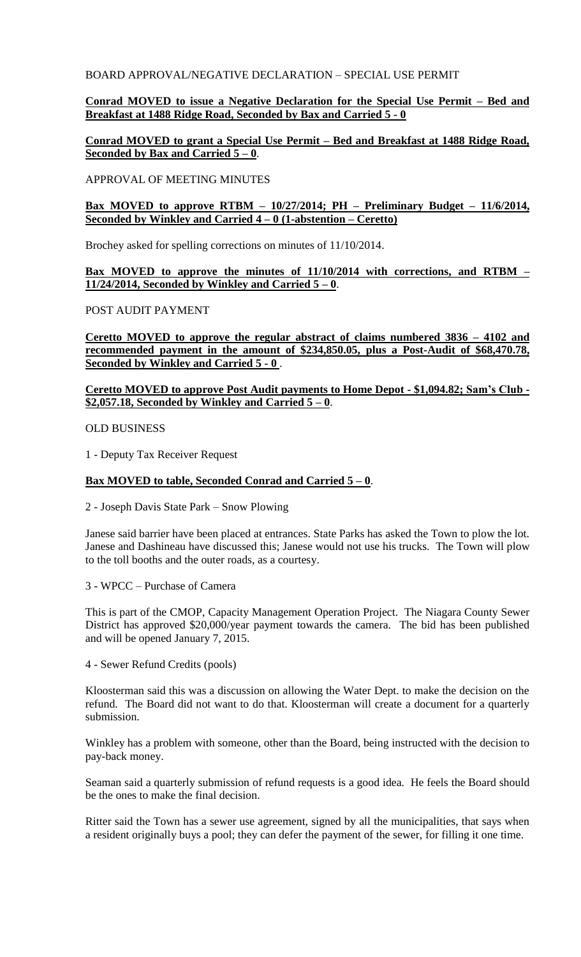# BOARD APPROVAL/NEGATIVE DECLARATION – SPECIAL USE PERMIT

# **Conrad MOVED to issue a Negative Declaration for the Special Use Permit – Bed and Breakfast at 1488 Ridge Road, Seconded by Bax and Carried 5 - 0**

# **Conrad MOVED to grant a Special Use Permit – Bed and Breakfast at 1488 Ridge Road, Seconded by Bax and Carried 5 – 0**.

### APPROVAL OF MEETING MINUTES

# **Bax MOVED to approve RTBM – 10/27/2014; PH – Preliminary Budget – 11/6/2014, Seconded by Winkley and Carried 4 – 0 (1-abstention – Ceretto)**

Brochey asked for spelling corrections on minutes of 11/10/2014.

# **Bax MOVED to approve the minutes of 11/10/2014 with corrections, and RTBM – 11/24/2014, Seconded by Winkley and Carried 5 – 0**.

# POST AUDIT PAYMENT

**Ceretto MOVED to approve the regular abstract of claims numbered 3836 – 4102 and recommended payment in the amount of \$234,850.05, plus a Post-Audit of \$68,470.78, Seconded by Winkley and Carried 5 - 0** .

# **Ceretto MOVED to approve Post Audit payments to Home Depot - \$1,094.82; Sam's Club -**  $$2,057.18$ , Seconded by Winkley and Carried  $5-0$ .

### OLD BUSINESS

1 - Deputy Tax Receiver Request

# **Bax MOVED to table, Seconded Conrad and Carried 5 – 0**.

2 - Joseph Davis State Park – Snow Plowing

Janese said barrier have been placed at entrances. State Parks has asked the Town to plow the lot. Janese and Dashineau have discussed this; Janese would not use his trucks. The Town will plow to the toll booths and the outer roads, as a courtesy.

3 - WPCC – Purchase of Camera

This is part of the CMOP, Capacity Management Operation Project. The Niagara County Sewer District has approved \$20,000/year payment towards the camera. The bid has been published and will be opened January 7, 2015.

4 - Sewer Refund Credits (pools)

Kloosterman said this was a discussion on allowing the Water Dept. to make the decision on the refund. The Board did not want to do that. Kloosterman will create a document for a quarterly submission.

Winkley has a problem with someone, other than the Board, being instructed with the decision to pay-back money.

Seaman said a quarterly submission of refund requests is a good idea. He feels the Board should be the ones to make the final decision.

Ritter said the Town has a sewer use agreement, signed by all the municipalities, that says when a resident originally buys a pool; they can defer the payment of the sewer, for filling it one time.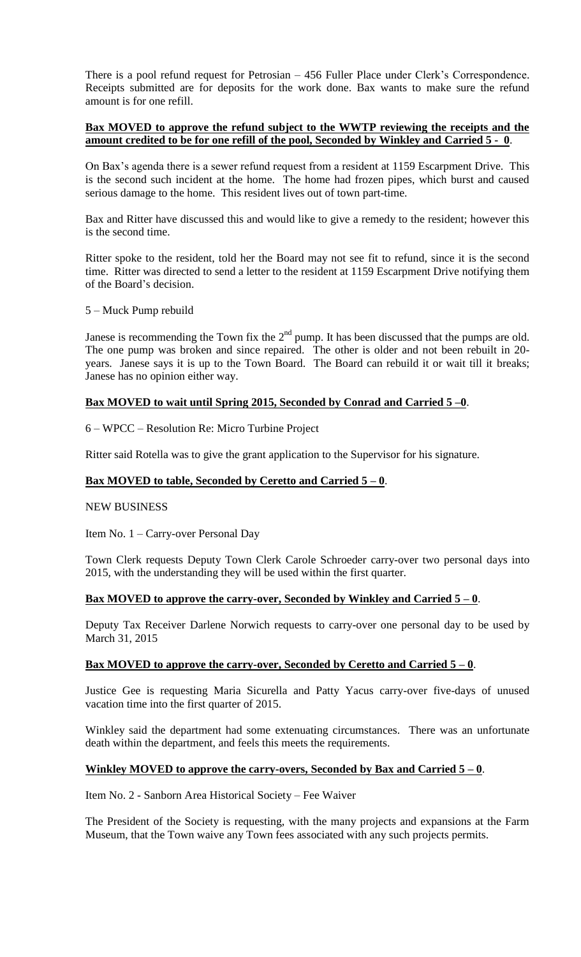There is a pool refund request for Petrosian – 456 Fuller Place under Clerk's Correspondence. Receipts submitted are for deposits for the work done. Bax wants to make sure the refund amount is for one refill.

# **Bax MOVED to approve the refund subject to the WWTP reviewing the receipts and the amount credited to be for one refill of the pool, Seconded by Winkley and Carried 5 - 0**.

On Bax's agenda there is a sewer refund request from a resident at 1159 Escarpment Drive. This is the second such incident at the home. The home had frozen pipes, which burst and caused serious damage to the home. This resident lives out of town part-time.

Bax and Ritter have discussed this and would like to give a remedy to the resident; however this is the second time.

Ritter spoke to the resident, told her the Board may not see fit to refund, since it is the second time. Ritter was directed to send a letter to the resident at 1159 Escarpment Drive notifying them of the Board's decision.

5 – Muck Pump rebuild

Janese is recommending the Town fix the  $2<sup>nd</sup>$  pump. It has been discussed that the pumps are old. The one pump was broken and since repaired. The other is older and not been rebuilt in 20 years. Janese says it is up to the Town Board. The Board can rebuild it or wait till it breaks; Janese has no opinion either way.

# **Bax MOVED to wait until Spring 2015, Seconded by Conrad and Carried 5 –0**.

6 – WPCC – Resolution Re: Micro Turbine Project

Ritter said Rotella was to give the grant application to the Supervisor for his signature.

# **Bax MOVED to table, Seconded by Ceretto and Carried 5 – 0**.

NEW BUSINESS

Item No. 1 – Carry-over Personal Day

Town Clerk requests Deputy Town Clerk Carole Schroeder carry-over two personal days into 2015, with the understanding they will be used within the first quarter.

# **Bax MOVED to approve the carry-over, Seconded by Winkley and Carried 5 – 0**.

Deputy Tax Receiver Darlene Norwich requests to carry-over one personal day to be used by March 31, 2015

# **Bax MOVED to approve the carry-over, Seconded by Ceretto and Carried 5 – 0**.

Justice Gee is requesting Maria Sicurella and Patty Yacus carry-over five-days of unused vacation time into the first quarter of 2015.

Winkley said the department had some extenuating circumstances. There was an unfortunate death within the department, and feels this meets the requirements.

# <u>Winkley MOVED to approve the carry-overs, Seconded by Bax and Carried  $5 - 0$ .</u>

Item No. 2 - Sanborn Area Historical Society – Fee Waiver

The President of the Society is requesting, with the many projects and expansions at the Farm Museum, that the Town waive any Town fees associated with any such projects permits.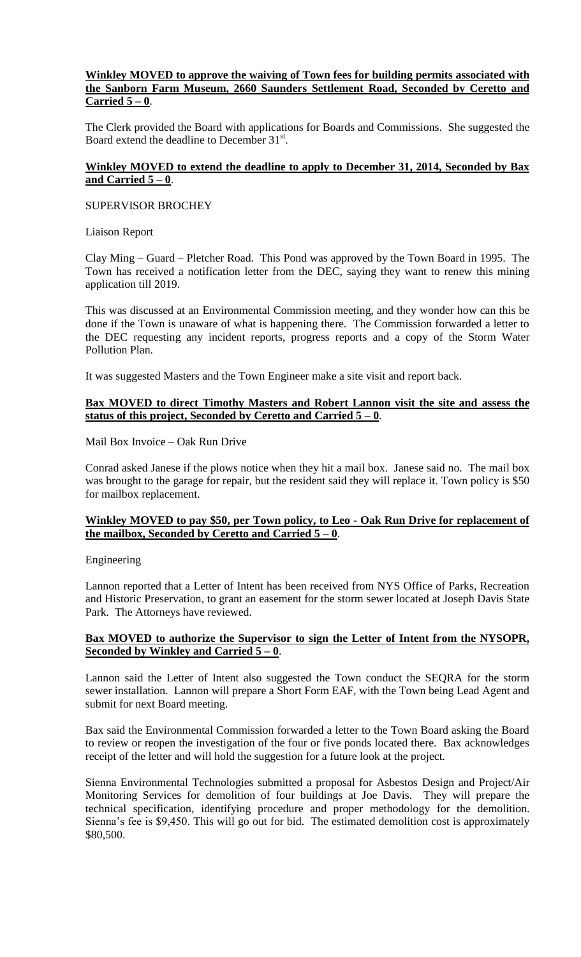# **Winkley MOVED to approve the waiving of Town fees for building permits associated with the Sanborn Farm Museum, 2660 Saunders Settlement Road, Seconded by Ceretto and Carried 5 – 0**.

The Clerk provided the Board with applications for Boards and Commissions. She suggested the Board extend the deadline to December 31<sup>st</sup>.

# **Winkley MOVED to extend the deadline to apply to December 31, 2014, Seconded by Bax and Carried 5 – 0**.

### SUPERVISOR BROCHEY

Liaison Report

Clay Ming – Guard – Pletcher Road. This Pond was approved by the Town Board in 1995. The Town has received a notification letter from the DEC, saying they want to renew this mining application till 2019.

This was discussed at an Environmental Commission meeting, and they wonder how can this be done if the Town is unaware of what is happening there. The Commission forwarded a letter to the DEC requesting any incident reports, progress reports and a copy of the Storm Water Pollution Plan.

It was suggested Masters and the Town Engineer make a site visit and report back.

# **Bax MOVED to direct Timothy Masters and Robert Lannon visit the site and assess the status of this project, Seconded by Ceretto and Carried 5 – 0**.

Mail Box Invoice – Oak Run Drive

Conrad asked Janese if the plows notice when they hit a mail box. Janese said no. The mail box was brought to the garage for repair, but the resident said they will replace it. Town policy is \$50 for mailbox replacement.

# **Winkley MOVED to pay \$50, per Town policy, to Leo - Oak Run Drive for replacement of the mailbox, Seconded by Ceretto and Carried 5 – 0**.

Engineering

Lannon reported that a Letter of Intent has been received from NYS Office of Parks, Recreation and Historic Preservation, to grant an easement for the storm sewer located at Joseph Davis State Park. The Attorneys have reviewed.

# **Bax MOVED to authorize the Supervisor to sign the Letter of Intent from the NYSOPR, Seconded by Winkley and Carried 5 – 0**.

Lannon said the Letter of Intent also suggested the Town conduct the SEQRA for the storm sewer installation. Lannon will prepare a Short Form EAF, with the Town being Lead Agent and submit for next Board meeting.

Bax said the Environmental Commission forwarded a letter to the Town Board asking the Board to review or reopen the investigation of the four or five ponds located there. Bax acknowledges receipt of the letter and will hold the suggestion for a future look at the project.

Sienna Environmental Technologies submitted a proposal for Asbestos Design and Project/Air Monitoring Services for demolition of four buildings at Joe Davis. They will prepare the technical specification, identifying procedure and proper methodology for the demolition. Sienna's fee is \$9,450. This will go out for bid. The estimated demolition cost is approximately \$80,500.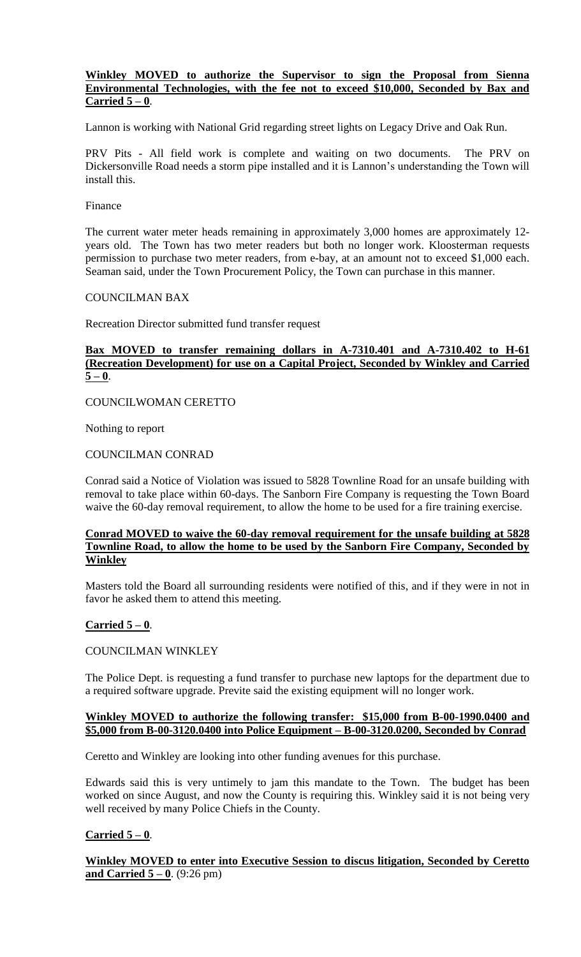# **Winkley MOVED to authorize the Supervisor to sign the Proposal from Sienna Environmental Technologies, with the fee not to exceed \$10,000, Seconded by Bax and Carried 5 – 0**.

Lannon is working with National Grid regarding street lights on Legacy Drive and Oak Run.

PRV Pits - All field work is complete and waiting on two documents. The PRV on Dickersonville Road needs a storm pipe installed and it is Lannon's understanding the Town will install this.

#### Finance

The current water meter heads remaining in approximately 3,000 homes are approximately 12 years old. The Town has two meter readers but both no longer work. Kloosterman requests permission to purchase two meter readers, from e-bay, at an amount not to exceed \$1,000 each. Seaman said, under the Town Procurement Policy, the Town can purchase in this manner.

COUNCILMAN BAX

Recreation Director submitted fund transfer request

# **Bax MOVED to transfer remaining dollars in A-7310.401 and A-7310.402 to H-61 (Recreation Development) for use on a Capital Project, Seconded by Winkley and Carried**   $5 - 0$ .

COUNCILWOMAN CERETTO

Nothing to report

### COUNCILMAN CONRAD

Conrad said a Notice of Violation was issued to 5828 Townline Road for an unsafe building with removal to take place within 60-days. The Sanborn Fire Company is requesting the Town Board waive the 60-day removal requirement, to allow the home to be used for a fire training exercise.

# **Conrad MOVED to waive the 60-day removal requirement for the unsafe building at 5828 Townline Road, to allow the home to be used by the Sanborn Fire Company, Seconded by Winkley**

Masters told the Board all surrounding residents were notified of this, and if they were in not in favor he asked them to attend this meeting.

# **Carried 5 – 0**.

# COUNCILMAN WINKLEY

The Police Dept. is requesting a fund transfer to purchase new laptops for the department due to a required software upgrade. Previte said the existing equipment will no longer work.

### **Winkley MOVED to authorize the following transfer: \$15,000 from B-00-1990.0400 and \$5,000 from B-00-3120.0400 into Police Equipment – B-00-3120.0200, Seconded by Conrad**

Ceretto and Winkley are looking into other funding avenues for this purchase.

Edwards said this is very untimely to jam this mandate to the Town. The budget has been worked on since August, and now the County is requiring this. Winkley said it is not being very well received by many Police Chiefs in the County.

# **Carried 5 – 0**.

**Winkley MOVED to enter into Executive Session to discus litigation, Seconded by Ceretto <u>and Carried 5 – 0</u>.** (9:26 pm)